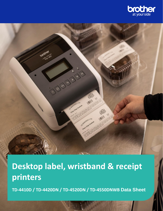

# **Desktop label, wristband & receipt printers**

C 3 a 4

20 exteries LTD Choc Chip Cookie

> CO SAKERIES LTD Choc Chile Cookies

**TD-4410D / TD-4420DN / TD-4520DN / TD-4550DNWB Data Sheet**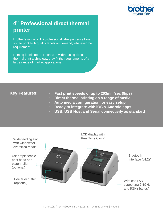

# **4" Professional direct thermal printer**

Brother's range of TD professional label printers allows you to print high quality labels on demand, whatever the requirement.

Printing labels up to 4 inches in width, using direct thermal print technology, they fit the requirements of a large range of market applications.

# **Key Features:**

- **Fast print speeds of up to 203mm/sec (8ips)**
- **Direct thermal printing on a range of media**
- **Auto media configuration for easy setup**
- **Ready to integrate with iOS & Android apps**
- **USB, USB Host and Serial connectivity as standard**

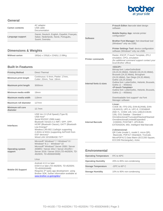

#### **General**

| <b>Carton contents</b> | AC adaptor<br>USB cable<br>Documentation                                                                |
|------------------------|---------------------------------------------------------------------------------------------------------|
| Language support       | Dansk, Deutsch, English, Español, Français,<br>Italian, Nederlands, Norsk, Português,<br>Suomi, Svenska |

# **Dimensions & Weights**

| <b>Without carton</b> | 180(w) x 155(d) x 224(h)   2.08Kg |
|-----------------------|-----------------------------------|
|-----------------------|-----------------------------------|

### **Built In Features**

| <b>Printing Method</b>             | <b>Direct Thermal</b>                                                                                                                                                                                                                                                                                                             |  |  |
|------------------------------------|-----------------------------------------------------------------------------------------------------------------------------------------------------------------------------------------------------------------------------------------------------------------------------------------------------------------------------------|--|--|
| Minimum print length               | Continuous: 6.4mm, Peeler: 17mm,<br>Cutter: 20mm. Tear: 18mm                                                                                                                                                                                                                                                                      |  |  |
| <b>Maximum print length</b>        | 3000mm                                                                                                                                                                                                                                                                                                                            |  |  |
| Minimum media width                | 19mm                                                                                                                                                                                                                                                                                                                              |  |  |
| Maximum media width                | <b>118mm</b>                                                                                                                                                                                                                                                                                                                      |  |  |
| Maximum roll diameter              | 127mm                                                                                                                                                                                                                                                                                                                             |  |  |
| Minimum roll core<br>diameter      | 12.7mm                                                                                                                                                                                                                                                                                                                            |  |  |
| <b>Interfaces</b>                  | USB Ver.2.0 (Full Speed) (Type B)<br>USB Host^<br>Serial RS232C (DB9 male)<br>Bluetooth Version.4.2 /MFi / SPP, OPP,<br>HCRP (Bluetooth Classic), GATT (Bluetooth<br>Low Energy)^<br>Wireless LAN 802.11a/b/g/n supporting<br>2.4GHz & 5GHz (supporting AirPrint® from<br>iOS <sup>®</sup> devices)^<br>Wired LAN 10/100BASE-TX^^ |  |  |
| <b>Operating system</b><br>support | Microsoft <sup>®</sup> Windows <sup>®</sup> 7 / Windows <sup>®</sup> 8 /<br>Windows <sup>®</sup> 8.1 / Windows <sup>®</sup> 10<br>Microsoft <sup>®</sup> Windows <sup>®</sup> Server 2008 / Server<br>2008R2 / Server 2012 / Server 2012R2 /<br>Server 2016 / Server 2019 (TD-4420DN, TD-<br>4520DN, TD-45550DNWB)<br>Linux       |  |  |
| <b>Mobile OS Support</b>           | Android 4.0.3 or later<br>iOS® 8 or later (TD-4420DN, TD-4520DN,<br>TD-45550DNWB)<br>Requires 3 <sup>rd</sup> party app development using<br>Brother SDK, further information available at<br>www.brother.co.jp/eng/dev/                                                                                                          |  |  |

|                         | P-touch Editor: barcode label design<br>software                                                                                                                                                                                                                                                                                                                                                                                      |  |  |  |
|-------------------------|---------------------------------------------------------------------------------------------------------------------------------------------------------------------------------------------------------------------------------------------------------------------------------------------------------------------------------------------------------------------------------------------------------------------------------------|--|--|--|
| <b>Software</b>         | <b>Mobile Deploy App: remote printer</b><br>configuration^                                                                                                                                                                                                                                                                                                                                                                            |  |  |  |
|                         | Brother Font Manager: font download tool<br>(Windows <sup>®</sup> only via USB)                                                                                                                                                                                                                                                                                                                                                       |  |  |  |
|                         | Printer Settings Tool: device configuration<br>software (Windows® only via USB)                                                                                                                                                                                                                                                                                                                                                       |  |  |  |
| <b>Printer commands</b> | Raster, ESC/P, P-touch Template, ZPL2<br>emulation, CPCL emulation<br>(for additional command support contact your<br>local Brother office)                                                                                                                                                                                                                                                                                           |  |  |  |
| Internal fonts & sizes  | <esc p=""><br/>Bitmap font: LetterGothicBold<br/>(16,24,32,48dot), Helsinki (16,24,32,48dot),<br/>Brussels (24,32,48dot), Brougham<br/>(24,32,48dot), San Diego (24,32,48dot),<br/>Gothic (16,24,32dot)<br/>Outline font: LetterGothic, Helsinki, Brussels,<br/>Gothic <math>(1 - 400</math>dots)<br/><p-touch template=""><br/>Outline font: LetterGothic, Helsinki, Brussels,<br/>Gothic <math>(1 - 400</math>dots)</p-touch></esc> |  |  |  |
|                         | Downloadable font support* via Font<br>Manager software                                                                                                                                                                                                                                                                                                                                                                               |  |  |  |
| <b>Internal Barcode</b> | Linear:<br>CODE 39, ITF(I-2/5), EAN-8(JAN8), EAN-<br>13(JAN13), UPC-A, UPC-E, CODABAR<br>(NW-7), CODE 128, GS1-128(UCC/EAN<br>128), GS1 Databar (Standard (<br>Omnidirectional/Truncated/Stacked/Stacked<br>Omnidirectional/Limited/Expanded),<br>CODE93, POSTNET, UPC/EAN<br>EXTENSION, MSI, Intelligent Mail Barcode                                                                                                                |  |  |  |
|                         | 2-dimensional:<br>QR Code (model 1, model 2, micro QR),<br>Maxicode, PDF417 (Standard, Truncate,<br>MicroPDF417) Data Matrix (ECC200 Square,<br>ECC200 Rectangular), Aztec                                                                                                                                                                                                                                                            |  |  |  |

| <b>Operating Temperature</b> | $5^{\circ}$ C to $40^{\circ}$ C    |  |
|------------------------------|------------------------------------|--|
| <b>Operating Humidity</b>    | 20% to 85% non-condensing          |  |
| <b>Storage Temperature</b>   | $-20^{\circ}$ C to 60 $^{\circ}$ C |  |
| <b>Storage Humidity</b>      | 10% to 90% non-condensing          |  |